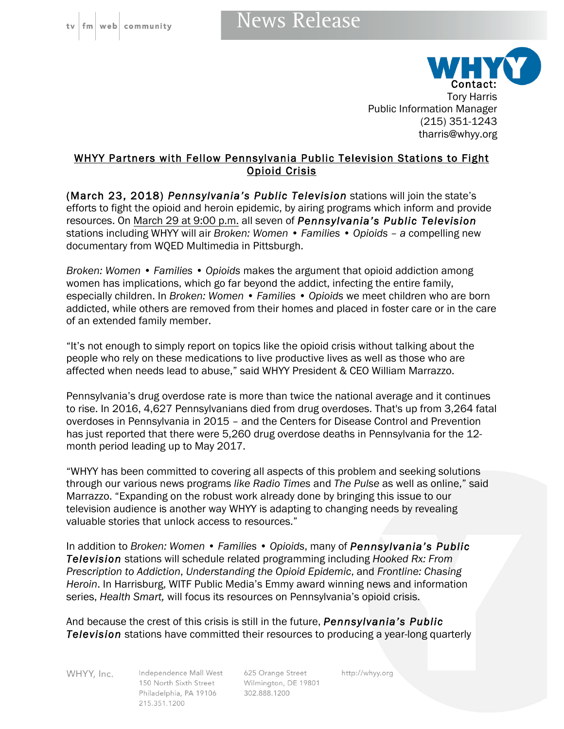## News Release



tharris@whyy.org

## WHYY Partners with Fellow Pennsylvania Public Television Stations to Fight Opioid Crisis

(March 23, 2018) *Pennsylvania's Public Television* stations will join the state's efforts to fight the opioid and heroin epidemic, by airing programs which inform and provide resources. On March 29 at 9:00 p.m. all seven of *Pennsylvania's Public Television* stations including WHYY will air *Broken: Women • Families • Opioids – a* compelling new documentary from WQED Multimedia in Pittsburgh.

*Broken: Women • Families • Opioids* makes the argument that opioid addiction among women has implications, which go far beyond the addict, infecting the entire family, especially children. In *Broken: Women • Families • Opioids* we meet children who are born addicted, while others are removed from their homes and placed in foster care or in the care of an extended family member.

"It's not enough to simply report on topics like the opioid crisis without talking about the people who rely on these medications to live productive lives as well as those who are affected when needs lead to abuse," said WHYY President & CEO William Marrazzo.

Pennsylvania's drug overdose rate is more than twice the national average and it continues to rise. In 2016, 4,627 Pennsylvanians died from drug overdoses. That's up from 3,264 fatal overdoses in Pennsylvania in 2015 – and the Centers for Disease Control and Prevention has just reported that there were 5,260 drug overdose deaths in Pennsylvania for the 12 month period leading up to May 2017.

"WHYY has been committed to covering all aspects of this problem and seeking solutions through our various news programs *like Radio Times* and *The Pulse* as well as online," said Marrazzo. "Expanding on the robust work already done by bringing this issue to our television audience is another way WHYY is adapting to changing needs by revealing valuable stories that unlock access to resources."

In addition to *Broken: Women • Families • Opioids*, many of *Pennsylvania's Public Television* stations will schedule related programming including *Hooked Rx: From Prescription to Addiction*, *Understanding the Opioid Epidemic*, and *Frontline: Chasing Heroin*. In Harrisburg, WITF Public Media's Emmy award winning news and information series, *Health Smart,* will focus its resources on Pennsylvania's opioid crisis.

And because the crest of this crisis is still in the future, *Pennsylvania's Public Television* stations have committed their resources to producing a year-long quarterly

WHYY, Inc.

Independence Mall West 150 North Sixth Street Wilmington, DE 19801 Philadelphia, PA 19106 215.351.1200

625 Orange Street 302.888.1200

http://whyy.org